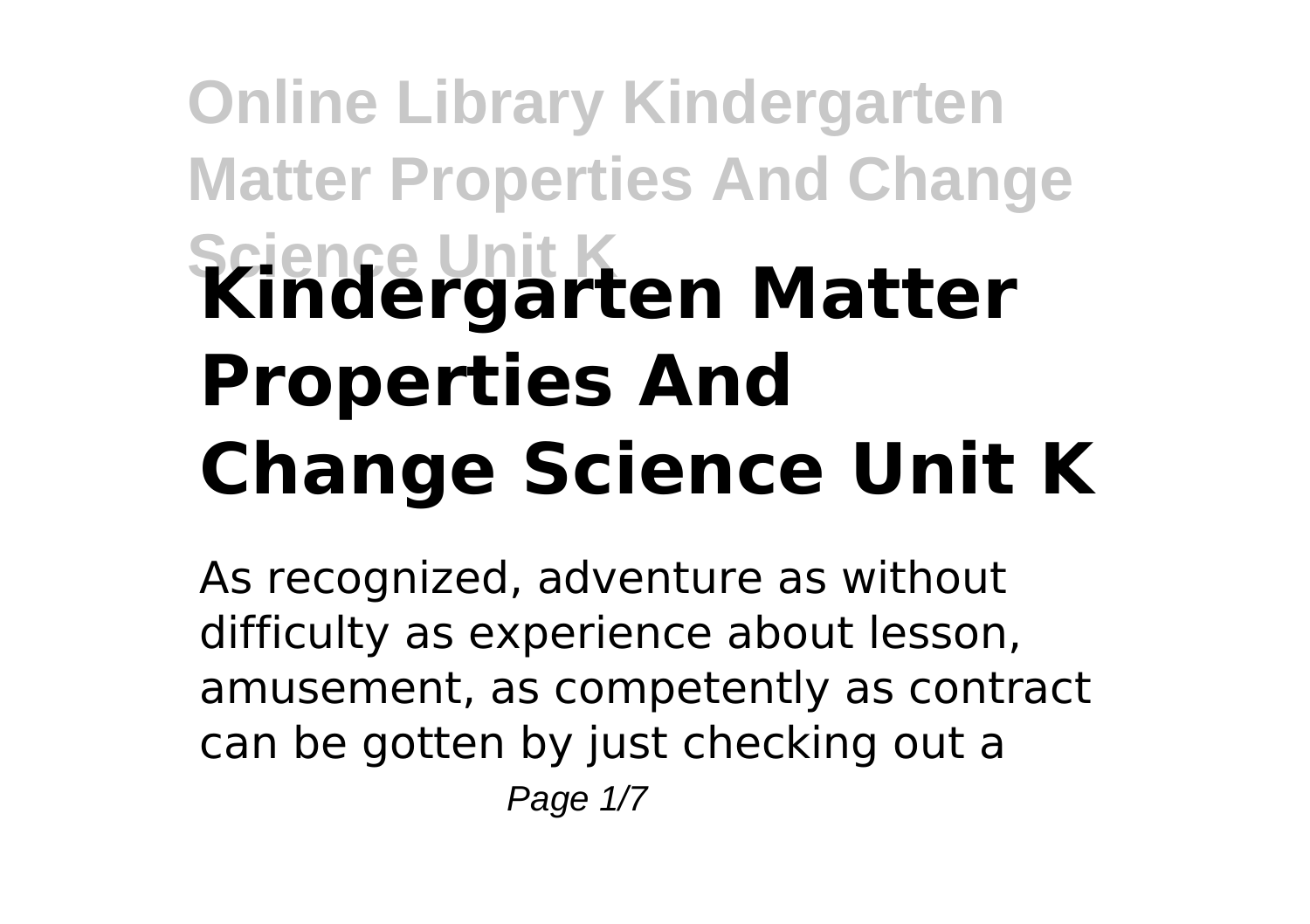## **Online Library Kindergarten Matter Properties And Change Science Unit K Kindergarten Matter Properties And Change Science Unit K**

As recognized, adventure as without difficulty as experience about lesson, amusement, as competently as contract can be gotten by just checking out a Page 1/7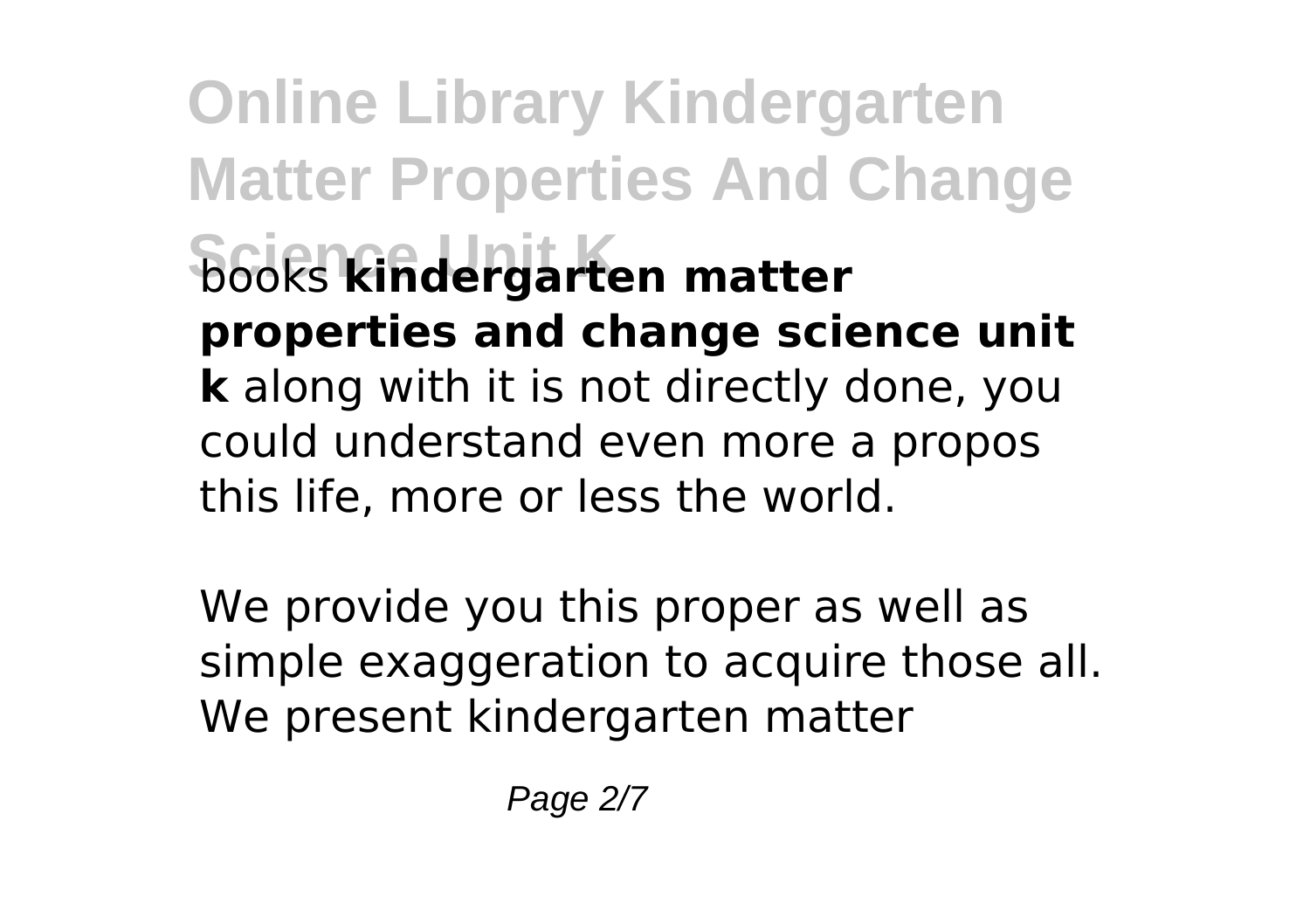**Online Library Kindergarten Matter Properties And Change Science Unit K** books **kindergarten matter properties and change science unit k** along with it is not directly done, you could understand even more a propos this life, more or less the world.

We provide you this proper as well as simple exaggeration to acquire those all. We present kindergarten matter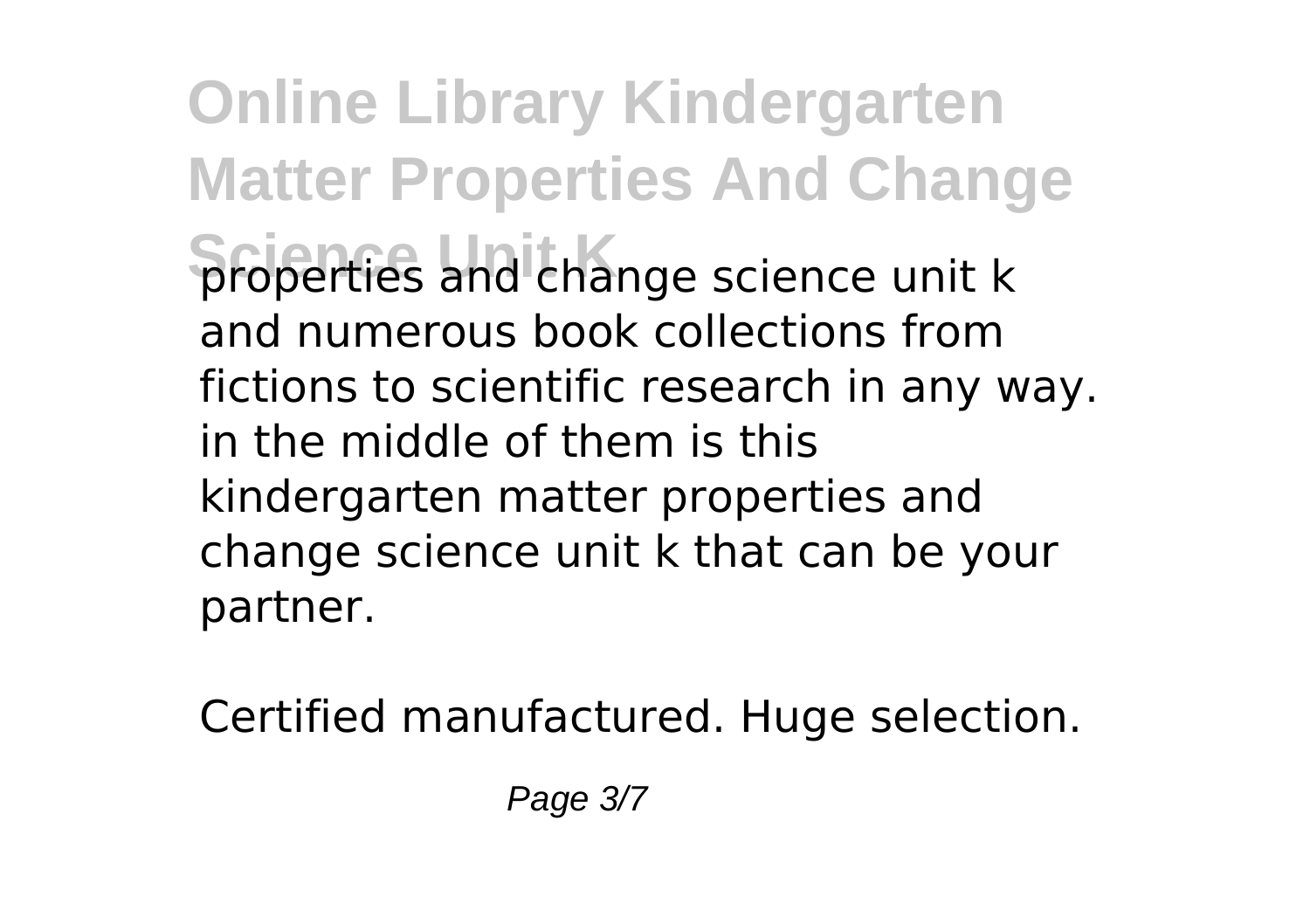**Online Library Kindergarten Matter Properties And Change Science Unit K** properties and change science unit k and numerous book collections from fictions to scientific research in any way. in the middle of them is this kindergarten matter properties and change science unit k that can be your partner.

Certified manufactured. Huge selection.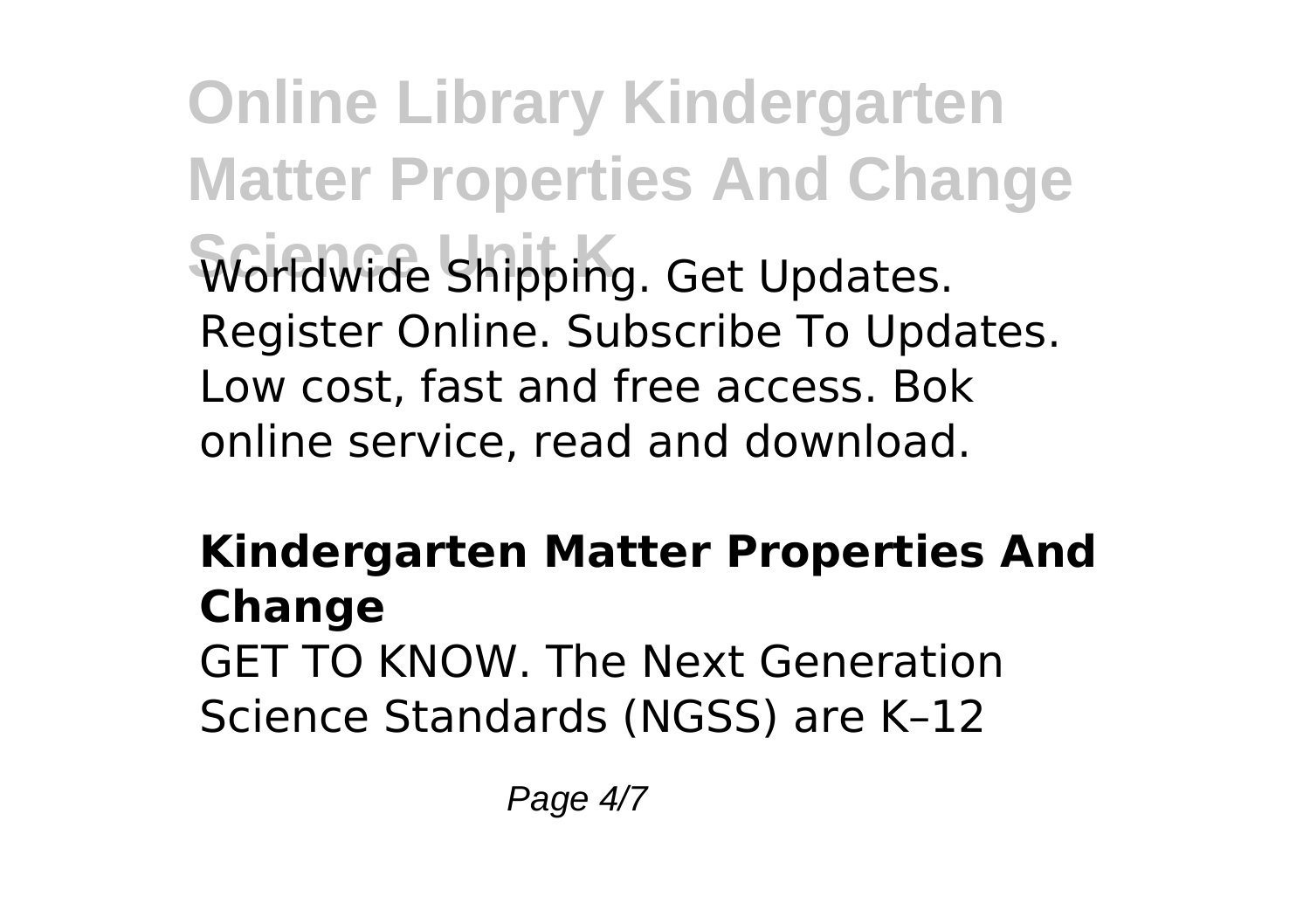**Online Library Kindergarten Matter Properties And Change Science Unit K** Worldwide Shipping. Get Updates. Register Online. Subscribe To Updates. Low cost, fast and free access. Bok online service, read and download.

## **Kindergarten Matter Properties And Change** GET TO KNOW. The Next Generation

Science Standards (NGSS) are K–12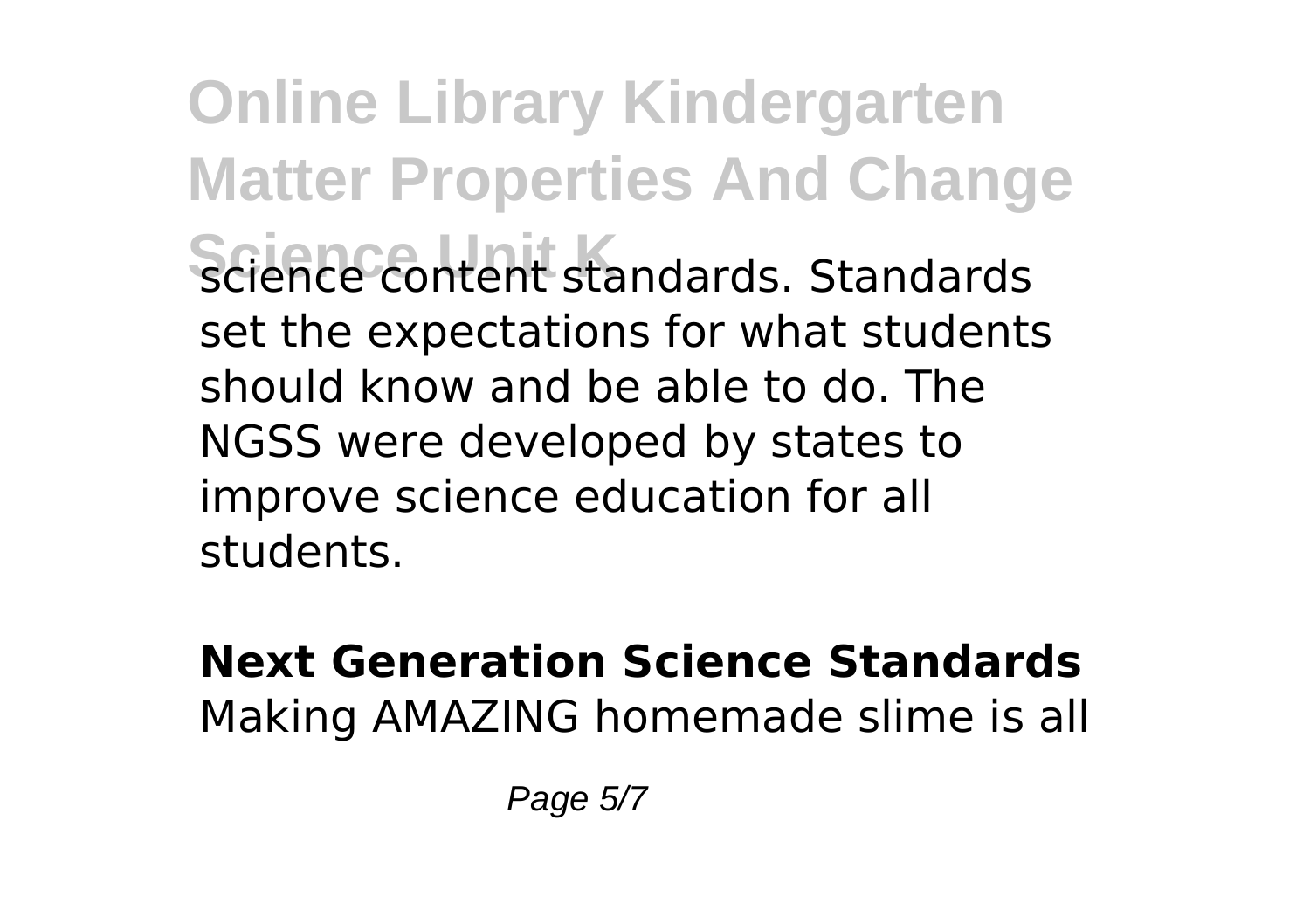**Online Library Kindergarten Matter Properties And Change Science content standards. Standards** set the expectations for what students should know and be able to do. The NGSS were developed by states to improve science education for all students.

## **Next Generation Science Standards** Making AMAZING homemade slime is all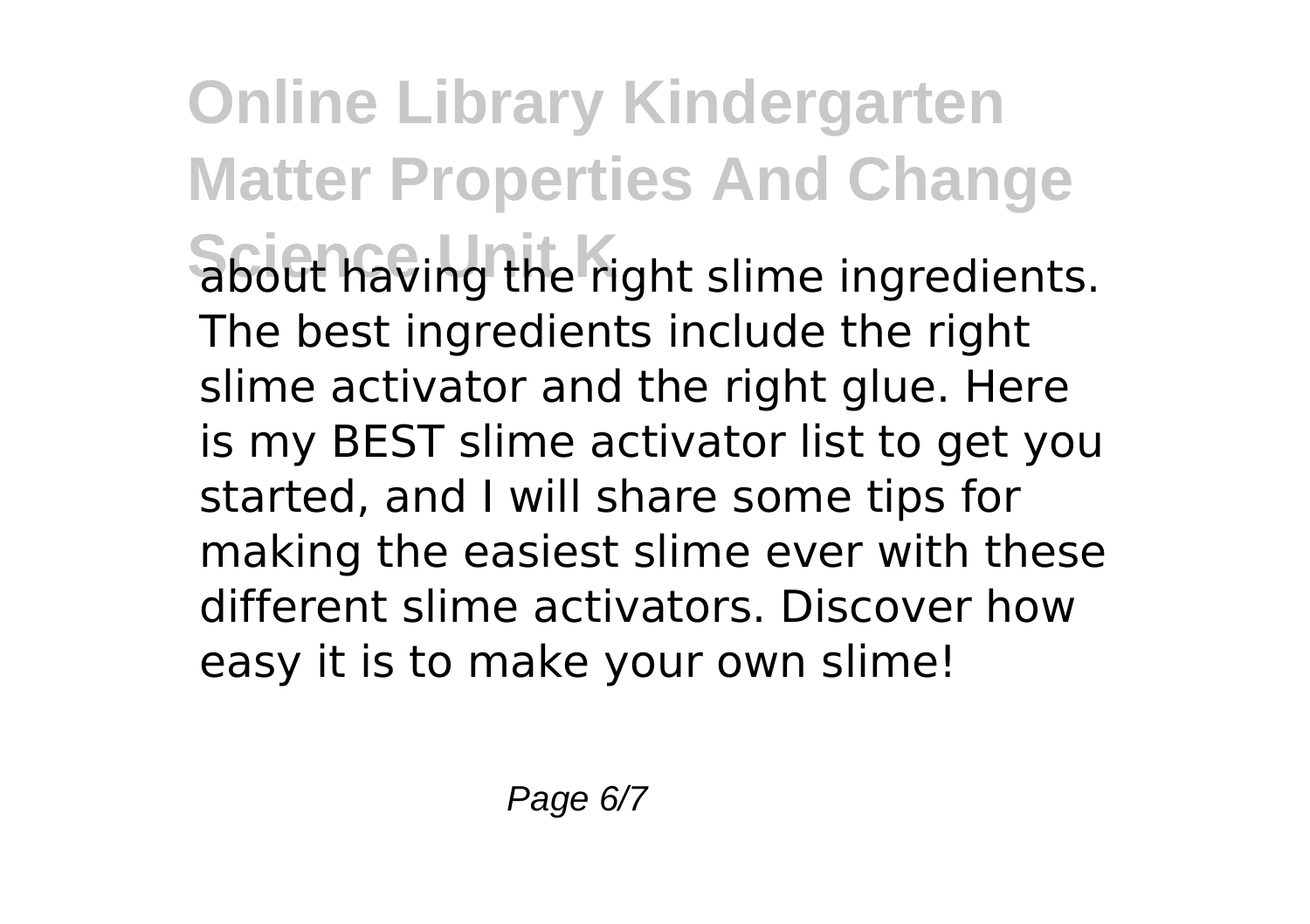**Online Library Kindergarten Matter Properties And Change Science Unit K** about having the right slime ingredients. The best ingredients include the right slime activator and the right glue. Here is my BEST slime activator list to get you started, and I will share some tips for making the easiest slime ever with these different slime activators. Discover how easy it is to make your own slime!